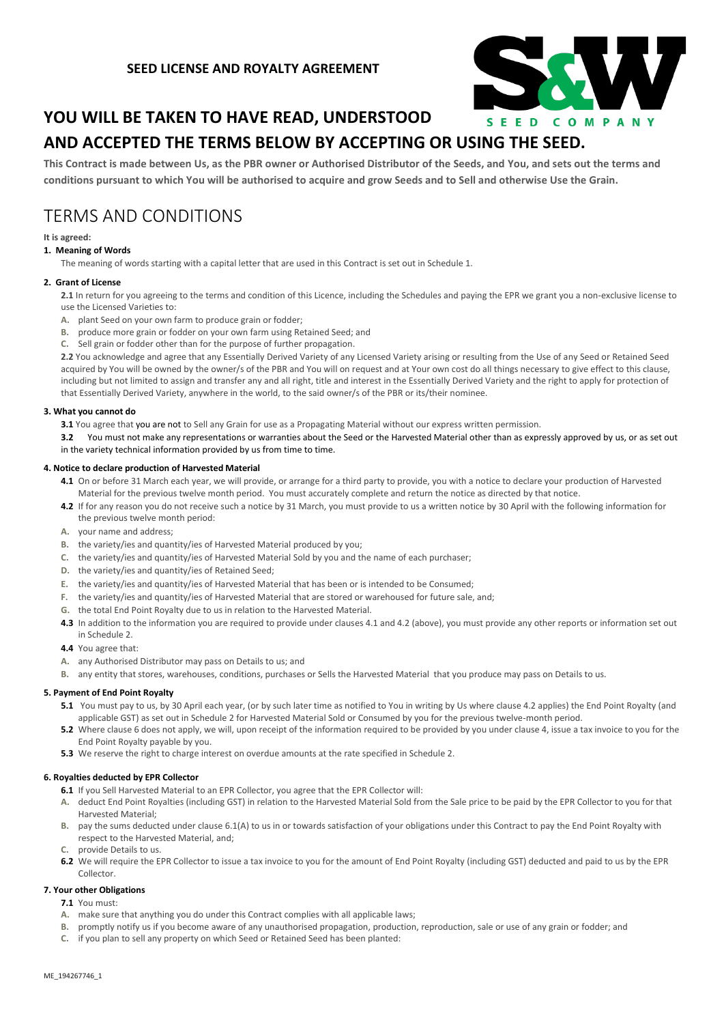

# **YOU WILL BE TAKEN TO HAVE READ, UNDERSTOOD**

# **AND ACCEPTED THE TERMS BELOW BY ACCEPTING OR USING THE SEED.**

**This Contract is made between Us, as the PBR owner or Authorised Distributor of the Seeds, and You, and sets out the terms and conditions pursuant to which You will be authorised to acquire and grow Seeds and to Sell and otherwise Use the Grain.**

# TERMS AND CONDITIONS

## **It is agreed:**

# **1. Meaning of Words**

The meaning of words starting with a capital letter that are used in this Contract is set out in Schedule 1.

## **2. Grant of License**

**2.1** In return for you agreeing to the terms and condition of this Licence, including the Schedules and paying the EPR we grant you a non-exclusive license to use the Licensed Varieties to:

- **A.** plant Seed on your own farm to produce grain or fodder;
- **B.** produce more grain or fodder on your own farm using Retained Seed; and
- **C.** Sell grain or fodder other than for the purpose of further propagation.

**2.2** You acknowledge and agree that any Essentially Derived Variety of any Licensed Variety arising or resulting from the Use of any Seed or Retained Seed acquired by You will be owned by the owner/s of the PBR and You will on request and at Your own cost do all things necessary to give effect to this clause, including but not limited to assign and transfer any and all right, title and interest in the Essentially Derived Variety and the right to apply for protection of that Essentially Derived Variety, anywhere in the world, to the said owner/s of the PBR or its/their nominee.

## **3. What you cannot do**

**3.1** You agree that you are not to Sell any Grain for use as a Propagating Material without our express written permission.

**3.2** You must not make any representations or warranties about the Seed or the Harvested Material other than as expressly approved by us, or as set out in the variety technical information provided by us from time to time.

## **4. Notice to declare production of Harvested Material**

- **4.1** On or before 31 March each year, we will provide, or arrange for a third party to provide, you with a notice to declare your production of Harvested Material for the previous twelve month period. You must accurately complete and return the notice as directed by that notice.
- **4.2** If for any reason you do not receive such a notice by 31 March, you must provide to us a written notice by 30 April with the following information for the previous twelve month period:
- **A.** your name and address;
- **B.** the variety/ies and quantity/ies of Harvested Material produced by you;
- **C.** the variety/ies and quantity/ies of Harvested Material Sold by you and the name of each purchaser;
- **D.** the variety/ies and quantity/ies of Retained Seed;
- **E.** the variety/ies and quantity/ies of Harvested Material that has been or is intended to be Consumed;
- **F.** the variety/ies and quantity/ies of Harvested Material that are stored or warehoused for future sale, and;
- **G.** the total End Point Royalty due to us in relation to the Harvested Material.
- **4.3** In addition to the information you are required to provide under clauses 4.1 and 4.2 (above), you must provide any other reports or information set out in Schedule 2.
- **4.4** You agree that:
- **A.** any Authorised Distributor may pass on Details to us; and
- **B.** any entity that stores, warehouses, conditions, purchases or Sells the Harvested Material that you produce may pass on Details to us.

### **5. Payment of End Point Royalty**

- **5.1** You must pay to us, by 30 April each year, (or by such later time as notified to You in writing by Us where clause 4.2 applies) the End Point Royalty (and applicable GST) as set out in Schedule 2 for Harvested Material Sold or Consumed by you for the previous twelve-month period.
- **5.2** Where clause 6 does not apply, we will, upon receipt of the information required to be provided by you under clause 4, issue a tax invoice to you for the End Point Royalty payable by you.
- **5.3** We reserve the right to charge interest on overdue amounts at the rate specified in Schedule 2.

### **6. Royalties deducted by EPR Collector**

- **6.1** If you Sell Harvested Material to an EPR Collector, you agree that the EPR Collector will:
- **A.** deduct End Point Royalties (including GST) in relation to the Harvested Material Sold from the Sale price to be paid by the EPR Collector to you for that Harvested Material;
- **B.** pay the sums deducted under clause 6.1(A) to us in or towards satisfaction of your obligations under this Contract to pay the End Point Royalty with respect to the Harvested Material, and;
- **C.** provide Details to us.
- **6.2** We will require the EPR Collector to issue a tax invoice to you for the amount of End Point Royalty (including GST) deducted and paid to us by the EPR Collector.

### **7. Your other Obligations**

- **7.1** You must:
- **A.** make sure that anything you do under this Contract complies with all applicable laws;
- **B.** promptly notify us if you become aware of any unauthorised propagation, production, reproduction, sale or use of any grain or fodder; and
- **C.** if you plan to sell any property on which Seed or Retained Seed has been planted: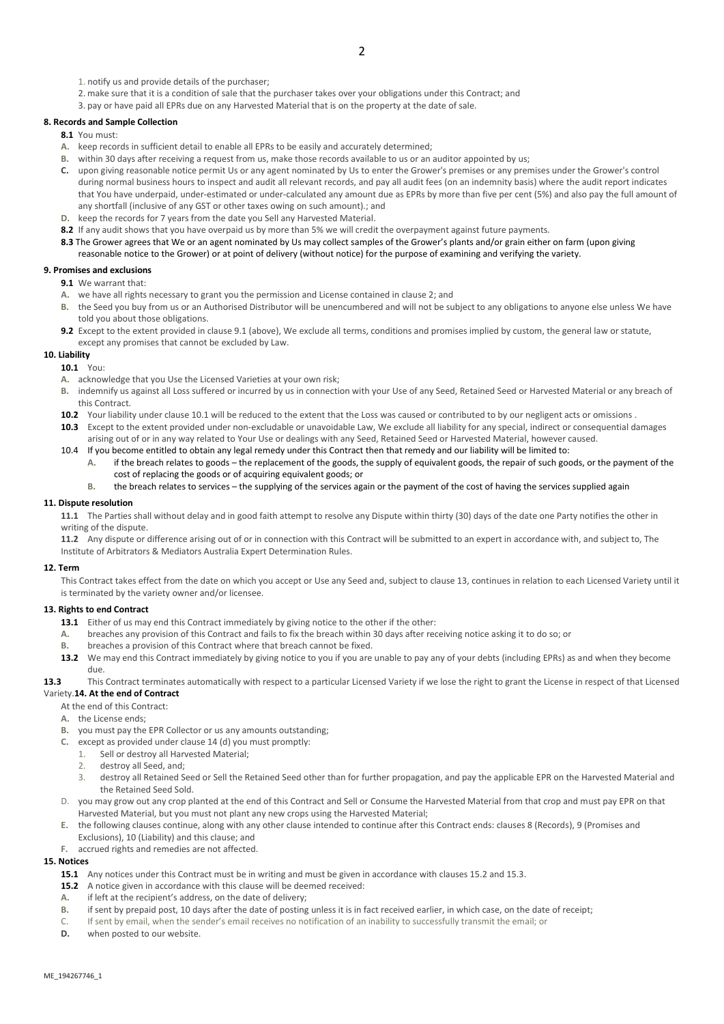- 1. notify us and provide details of the purchaser;
- 2. make sure that it is a condition of sale that the purchaser takes over your obligations under this Contract; and
- 3. pay or have paid all EPRs due on any Harvested Material that is on the property at the date of sale.

#### **8. Records and Sample Collection**

- **8.1** You must:
- **A.** keep records in sufficient detail to enable all EPRs to be easily and accurately determined;
- **B.** within 30 days after receiving a request from us, make those records available to us or an auditor appointed by us;
- **C.** upon giving reasonable notice permit Us or any agent nominated by Us to enter the Grower's premises or any premises under the Grower's control during normal business hours to inspect and audit all relevant records, and pay all audit fees (on an indemnity basis) where the audit report indicates that You have underpaid, under-estimated or under-calculated any amount due as EPRs by more than five per cent (5%) and also pay the full amount of any shortfall (inclusive of any GST or other taxes owing on such amount).; and
- **D.** keep the records for 7 years from the date you Sell any Harvested Material.
- **8.2** If any audit shows that you have overpaid us by more than 5% we will credit the overpayment against future payments.
- **8.3** The Grower agrees that We or an agent nominated by Us may collect samples of the Grower's plants and/or grain either on farm (upon giving reasonable notice to the Grower) or at point of delivery (without notice) for the purpose of examining and verifying the variety.

#### **9. Promises and exclusions**

- **9.1** We warrant that:
- **A.** we have all rights necessary to grant you the permission and License contained in clause 2; and
- **B.** the Seed you buy from us or an Authorised Distributor will be unencumbered and will not be subject to any obligations to anyone else unless We have told you about those obligations.
- **9.2** Except to the extent provided in clause 9.1 (above), We exclude all terms, conditions and promises implied by custom, the general law or statute, except any promises that cannot be excluded by Law.

## **10. Liability**

#### **10.1** You:

- **A.** acknowledge that you Use the Licensed Varieties at your own risk;
- **B.** indemnify us against all Loss suffered or incurred by us in connection with your Use of any Seed, Retained Seed or Harvested Material or any breach of this Contract.
- 10.2 Your liability under clause 10.1 will be reduced to the extent that the Loss was caused or contributed to by our negligent acts or omissions .
- **10.3** Except to the extent provided under non-excludable or unavoidable Law, We exclude all liability for any special, indirect or consequential damages arising out of or in any way related to Your Use or dealings with any Seed, Retained Seed or Harvested Material, however caused.
- 10.4 If you become entitled to obtain any legal remedy under this Contract then that remedy and our liability will be limited to:
	- **A.** if the breach relates to goods the replacement of the goods, the supply of equivalent goods, the repair of such goods, or the payment of the cost of replacing the goods or of acquiring equivalent goods; or
	- **B.** the breach relates to services the supplying of the services again or the payment of the cost of having the services supplied again

#### **11. Dispute resolution**

**11.1** The Parties shall without delay and in good faith attempt to resolve any Dispute within thirty (30) days of the date one Party notifies the other in writing of the dispute.

**11.2** Any dispute or difference arising out of or in connection with this Contract will be submitted to an expert in accordance with, and subject to, The Institute of Arbitrators & Mediators Australia Expert Determination Rules.

#### **12. Term**

This Contract takes effect from the date on which you accept or Use any Seed and, subject to clause 13, continues in relation to each Licensed Variety until it is terminated by the variety owner and/or licensee.

#### **13. Rights to end Contract**

- 13.1 Either of us may end this Contract immediately by giving notice to the other if the other:
- **A.** breaches any provision of this Contract and fails to fix the breach within 30 days after receiving notice asking it to do so; or
- **B.** breaches a provision of this Contract where that breach cannot be fixed.
- 13.2 We may end this Contract immediately by giving notice to you if you are unable to pay any of your debts (including EPRs) as and when they become due.

**13.3** This Contract terminates automatically with respect to a particular Licensed Variety if we lose the right to grant the License in respect of that Licensed

#### Variety.**14. At the end of Contract**

At the end of this Contract:

- **A.** the License ends;
- **B.** you must pay the EPR Collector or us any amounts outstanding;
- **C.** except as provided under clause 14 (d) you must promptly:
	- 1. Sell or destroy all Harvested Material;
	- 2. destroy all Seed, and;
	- 3. destroy all Retained Seed or Sell the Retained Seed other than for further propagation, and pay the applicable EPR on the Harvested Material and the Retained Seed Sold.
- D. you may grow out any crop planted at the end of this Contract and Sell or Consume the Harvested Material from that crop and must pay EPR on that Harvested Material, but you must not plant any new crops using the Harvested Material;
- **E.** the following clauses continue, along with any other clause intended to continue after this Contract ends: clauses 8 (Records), 9 (Promises and Exclusions), 10 (Liability) and this clause; and
- **F.** accrued rights and remedies are not affected.

## **15. Notices**

- **15.1** Any notices under this Contract must be in writing and must be given in accordance with clauses 15.2 and 15.3.
- **15.2** A notice given in accordance with this clause will be deemed received:
- **A.** if left at the recipient's address, on the date of delivery;
- **B.** if sent by prepaid post, 10 days after the date of posting unless it is in fact received earlier, in which case, on the date of receipt;
- C. If sent by email, when the sender's email receives no notification of an inability to successfully transmit the email; or
- **D.** when posted to our website.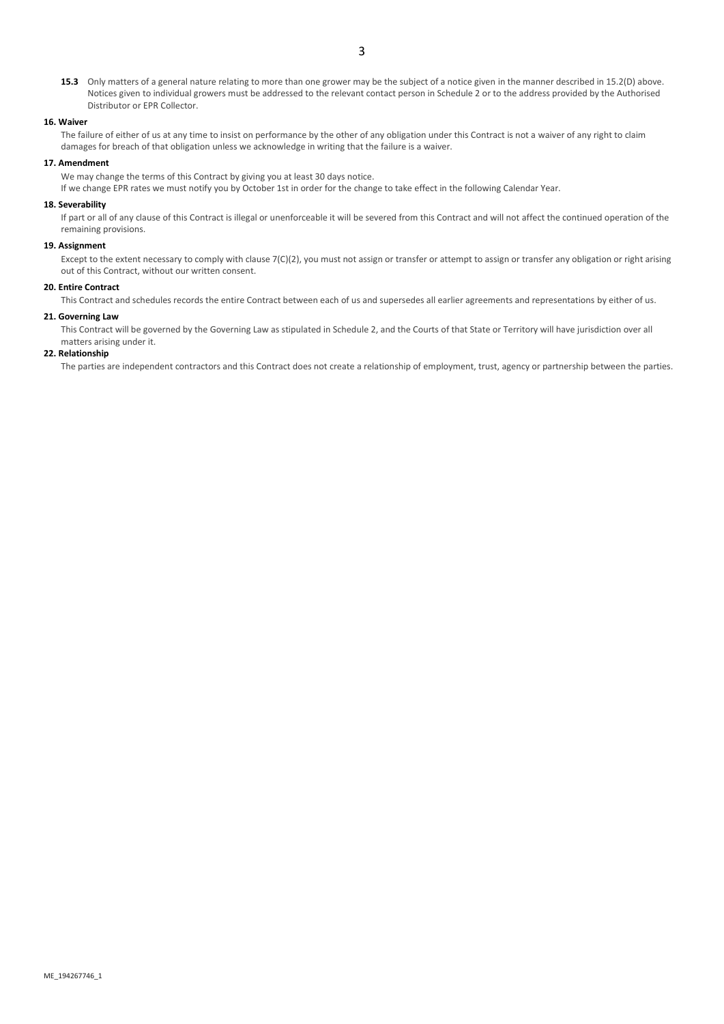**15.3** Only matters of a general nature relating to more than one grower may be the subject of a notice given in the manner described in 15.2(D) above. Notices given to individual growers must be addressed to the relevant contact person in Schedule 2 or to the address provided by the Authorised Distributor or EPR Collector.

#### **16. Waiver**

The failure of either of us at any time to insist on performance by the other of any obligation under this Contract is not a waiver of any right to claim damages for breach of that obligation unless we acknowledge in writing that the failure is a waiver.

#### **17. Amendment**

We may change the terms of this Contract by giving you at least 30 days notice.

If we change EPR rates we must notify you by October 1st in order for the change to take effect in the following Calendar Year.

#### **18. Severability**

If part or all of any clause of this Contract is illegal or unenforceable it will be severed from this Contract and will not affect the continued operation of the remaining provisions.

### **19. Assignment**

Except to the extent necessary to comply with clause 7(C)(2), you must not assign or transfer or attempt to assign or transfer any obligation or right arising out of this Contract, without our written consent.

## **20. Entire Contract**

This Contract and schedules records the entire Contract between each of us and supersedes all earlier agreements and representations by either of us.

#### **21. Governing Law**

This Contract will be governed by the Governing Law as stipulated in Schedule 2, and the Courts of that State or Territory will have jurisdiction over all matters arising under it.

## **22. Relationship**

The parties are independent contractors and this Contract does not create a relationship of employment, trust, agency or partnership between the parties.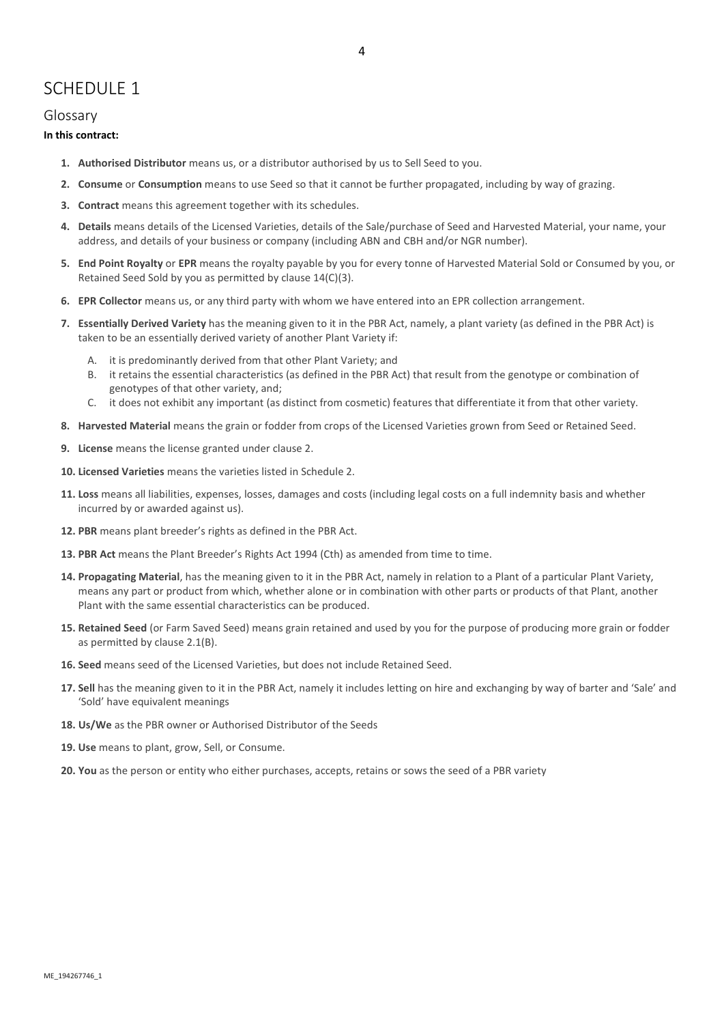# SCHEDULE 1

# Glossary

# **In this contract:**

- **1. Authorised Distributor** means us, or a distributor authorised by us to Sell Seed to you.
- **2. Consume** or **Consumption** means to use Seed so that it cannot be further propagated, including by way of grazing.
- **3. Contract** means this agreement together with its schedules.
- **4. Details** means details of the Licensed Varieties, details of the Sale/purchase of Seed and Harvested Material, your name, your address, and details of your business or company (including ABN and CBH and/or NGR number).
- **5. End Point Royalty** or **EPR** means the royalty payable by you for every tonne of Harvested Material Sold or Consumed by you, or Retained Seed Sold by you as permitted by clause 14(C)(3).
- **6. EPR Collector** means us, or any third party with whom we have entered into an EPR collection arrangement.
- **7. Essentially Derived Variety** has the meaning given to it in the PBR Act, namely, a plant variety (as defined in the PBR Act) is taken to be an essentially derived variety of another Plant Variety if:
	- A. it is predominantly derived from that other Plant Variety; and
	- B. it retains the essential characteristics (as defined in the PBR Act) that result from the genotype or combination of genotypes of that other variety, and;
	- C. it does not exhibit any important (as distinct from cosmetic) features that differentiate it from that other variety.
- **8. Harvested Material** means the grain or fodder from crops of the Licensed Varieties grown from Seed or Retained Seed.
- **9. License** means the license granted under clause 2.
- **10. Licensed Varieties** means the varieties listed in Schedule 2.
- **11. Loss** means all liabilities, expenses, losses, damages and costs (including legal costs on a full indemnity basis and whether incurred by or awarded against us).
- **12. PBR** means plant breeder's rights as defined in the PBR Act.
- **13. PBR Act** means the Plant Breeder's Rights Act 1994 (Cth) as amended from time to time.
- **14. Propagating Material**, has the meaning given to it in the PBR Act, namely in relation to a Plant of a particular Plant Variety, means any part or product from which, whether alone or in combination with other parts or products of that Plant, another Plant with the same essential characteristics can be produced.
- **15. Retained Seed** (or Farm Saved Seed) means grain retained and used by you for the purpose of producing more grain or fodder as permitted by clause 2.1(B).
- **16. Seed** means seed of the Licensed Varieties, but does not include Retained Seed.
- **17. Sell** has the meaning given to it in the PBR Act, namely it includes letting on hire and exchanging by way of barter and 'Sale' and 'Sold' have equivalent meanings
- **18. Us/We** as the PBR owner or Authorised Distributor of the Seeds
- **19. Use** means to plant, grow, Sell, or Consume.
- **20. You** as the person or entity who either purchases, accepts, retains or sows the seed of a PBR variety